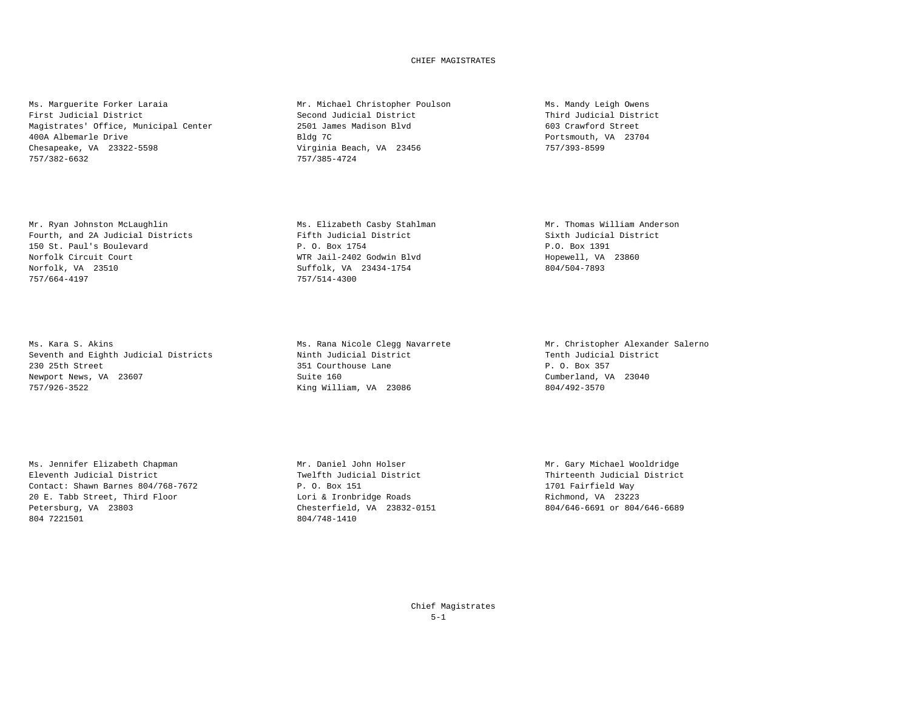## CHIEF MAGISTRATES

Ms. Marguerite Forker Laraia and Mr. Michael Christopher Poulson Ms. Mandy Leigh Owens First Judicial District Second Judicial District Third Judicial District Magistrates' Office, Municipal Center 2501 James Madison Blvd 603 Crawford Street 603 Crawford Street 603 Crawford Street<br>2501 James Madison Blvd 603 Crawford Street 603 Crawford Street 603 Crawford Street 603 Crawford Str 400A Albemarle Drive Bldg 7C Chesapeake, VA 23322-5598 Virginia Beach, VA 23456 757/393-8599 757/382-6632 757/385-4724

Mr. Ryan Johnston McLaughlin Ms. Elizabeth Casby Stahlman Mr. Thomas William Anderson Fourth, and 2A Judicial Districts Fifth Judicial District Sixth Judicial District Sixth Judicial Post 1991<br>
P. O. Box 1754 P.O. Box 1754 P.O. Box 1391 150 St. Paul's Boulevard P. O. Box 1754 P.O. Box 1391 Norfolk, VA 23510 Suffolk, VA 23434-1754 804/504-7893 757/664-4197

Ms. Kara S. Akins<br>
Ms. Rana Nicole Clegg Navarrete Mr. Christopher Alexander Salerno<br>
Seventh and Eighth Judicial District<br>
Mr. Christopher Alexander Salerno Seventh and Eighth Judicial Districts 230 25th Street 351 Courthouse Lane P. O. Box 357 Newport News, VA 23607 (Newsouth Apple 2004) Suite 160 (Newsouth Apple 2004) (Newsouth Apple 2004) Newsouth Cumberland, VA 23040<br>
The 23086 Suite 160 (Newsouth Apple 2004) Suite 2006 (Newsouth Apple 2008) (Newsouth Apple 2

Ms. Jennifer Elizabeth Chapman Mr. Daniel John Holser Mr. Gary Michael Wooldridge Contact: Shawn Barnes 804/768-7672 P. O. Box 151 1701 Fairfield Way 20 E. Tabb Street, Third Floor and Electronic Lori & Ironbridge Roads and Richmond, VA 23223<br>20 Extersburg, VA 23803 Petersburg, VA 23832-0151 Petersburg, VA 23803 Chesterfield, VA 23832-0151<br>804/748-1410<br>804/748-1410

WTR Jail-2402 Godwin Blvd

King William, VA 23086

804/748-1410

Twelfth Judicial District Twelfth Judicial District Thirteenth Judicial District P. 0. Box 151

Chief Magistrates 5-1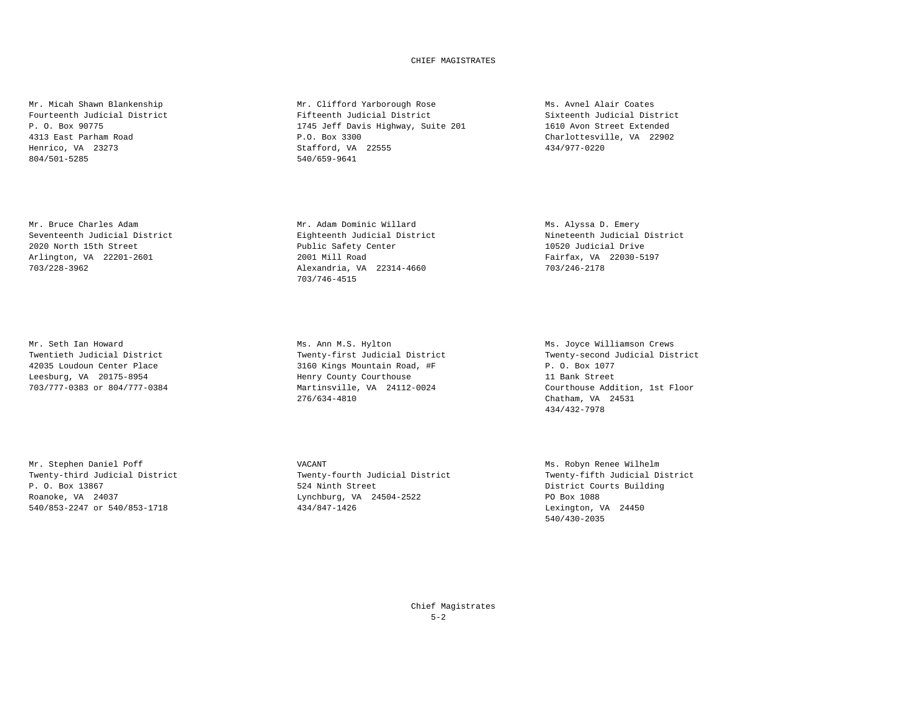## CHIEF MAGISTRATES

Mr. Bruce Charles Adam<br>
Mr. Beventeenth Judicial District<br>
Eighteenth Judicial District Mineteenth Judicial District Mineteenth Judicial District Seventeenth Judicial District 2020 North 15th Street Public Safety Center 10520 Judicial Drive Arlington, VA 22201-2601 703/228-3962 Alexandria, VA 22314-4660 703/246-2178

Mr. Stephen Daniel Poff **Mr. Stephen Daniel Poff** Ms. Robyn Renee Wilhelm 540/853-2247 or 540/853-1718 434/847-1426

Mr. Micah Shawn Blankenship Mr. Clifford Yarborough Rose Ms. Avnel Alair Coates Fourteenth Judicial District Fifteenth Judicial District Sixteenth Judicial District<br>F. O. Box 90775 (1610) P. O. Box 90775 (1610) District System of Transference of Street District System of Tra P. O. Box 90775 1745 Jeff Davis Highway, Suite 201<br>
4313 East Parham Road (1610) Avon Street Extended B.O. Box 3300 4313 East Parham Road P.O. Box 3300 Charlottesville, VA 22902 Henrico, VA 23273 <br>
804/501-5285 <br>
540/659-9641 <br>
540/659-9641 540/659-9641

703/746-4515

Mr. Seth Ian Howard (The Marino Mus. Ann M.S. Hylton Mus. 2008) Mus. Joyce Williamson Crews<br>Twentieth Judicial District (Twenty-first Judicial District (Twenty-second Judicial Dist 42035 Loudoun Center Place 3160 Kings Mountain Road, #F P.O. Box 1077 Martinsville, VA 24112-0024 276/634-4810 Chatham, VA 24531

Twenty-second Judicial District Leesburg, VA 20175-8954 Henry County Courthouse 11 Bank Street 434/432-7978

Twenty-third Judicial District Twenty-fourth Judicial District Twenty-fifth Judicial District<br>
P. O. Box 13867 Courts Building P. O. Box 13867 524 Ninth Street District Courts Building Roanoke, VA 24037 Lynchburg, VA 24504-2522 PO Box 1088

540/430-2035

Chief Magistrates  $5 - 2$